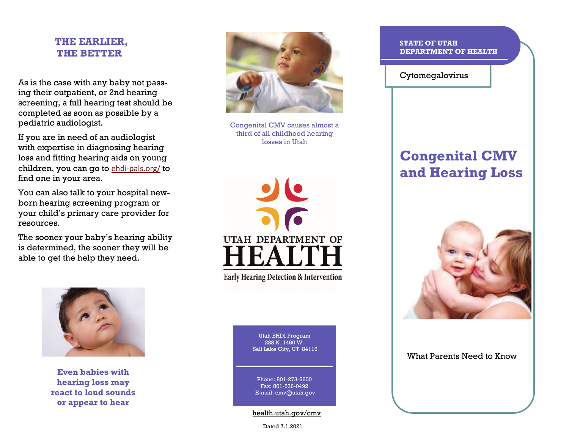## **THE EARLIER, THE BETTER**

As is the case with any baby not passing their outpatient, or 2nd hearing screening, a full hearing test should be completed as soon as possible by a pediatric audiologist.

If you are in need of an audiologist with expertise in diagnosing hearing loss and fitting hearing aids on young children, you can go to ehdi-[pals.org/](http://www.ehdi-pals.org/) to find one in your area.

You can also talk to your hospital newborn hearing screening program or your child's primary care provider for resources.

The sooner your baby's hearing ability is determined, the sooner they will be able to get the help they need.



**Even babies with hearing loss may react to loud sounds or appear to hear** 



Congenital CMV causes almost a third of all childhood hearing losses in Utah



**Early Hearing Detection & Intervention** 

Utah EHDI Program288 N. 1460 W.Salt Lake City, UT 84116

Phone: 801-273-6600Fax: 801-536-0492 E-mail: cmv@utah.gov

health.utah.gov/cmv

Dated 7.1.2021

#### **STATE OF UTAH DEPARTMENT OF HEALTH**

Cytomegalovirus

# **Congenital CMV and Hearing Loss**



What Parents Need to Know